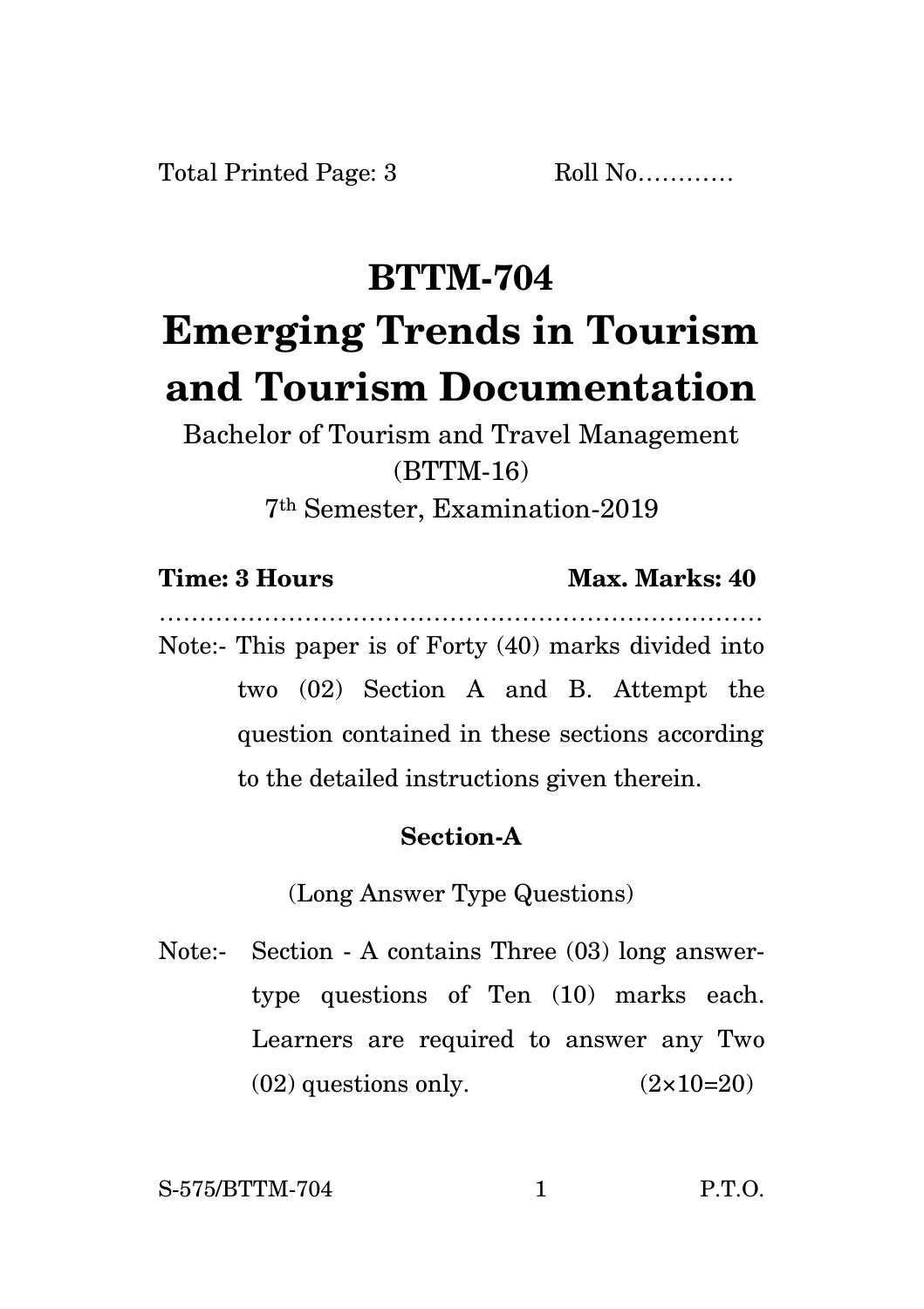## **BTTM-704 Emerging Trends in Tourism and Tourism Documentation**

Bachelor of Tourism and Travel Management (BTTM-16) 7th Semester, Examination-2019

**Time: 3 Hours Max. Marks: 40** 

………………………………………………………………… Note:- This paper is of Forty (40) marks divided into two (02) Section A and B. Attempt the question contained in these sections according to the detailed instructions given therein.

## **Section-A**

(Long Answer Type Questions)

Note:- Section - A contains Three (03) long answertype questions of Ten (10) marks each. Learners are required to answer any Two  $(02)$  questions only.  $(2 \times 10=20)$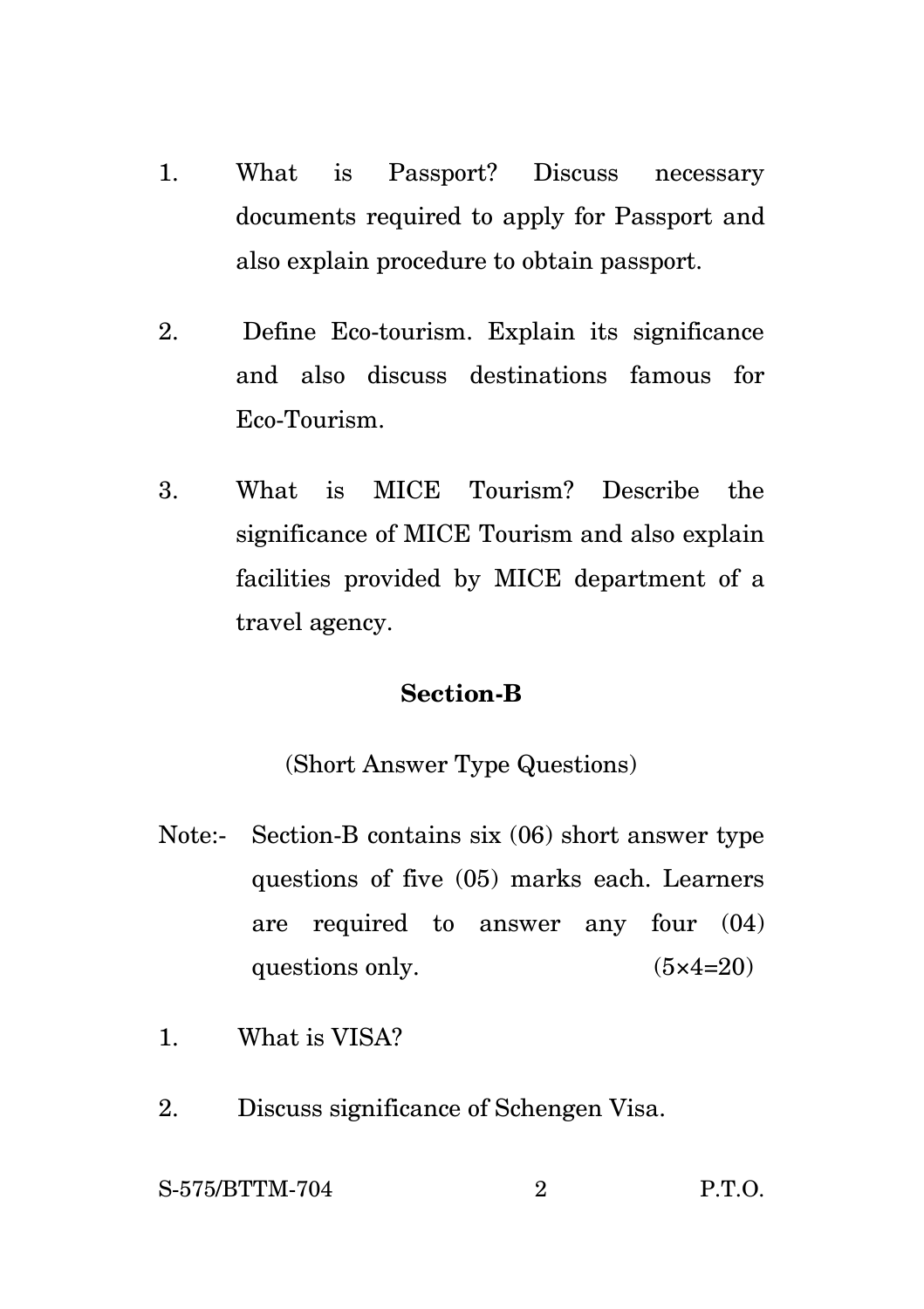- 1. What is Passport? Discuss necessary documents required to apply for Passport and also explain procedure to obtain passport.
- 2. Define Eco-tourism. Explain its significance and also discuss destinations famous for Eco-Tourism.
- 3. What is MICE Tourism? Describe the significance of MICE Tourism and also explain facilities provided by MICE department of a travel agency.

## **Section-B**

(Short Answer Type Questions)

- Note:- Section-B contains six (06) short answer type questions of five (05) marks each. Learners are required to answer any four (04) questions only.  $(5 \times 4=20)$
- 1. What is VISA?
- 2. Discuss significance of Schengen Visa.

S-575/BTTM-704 2 P.T.O.